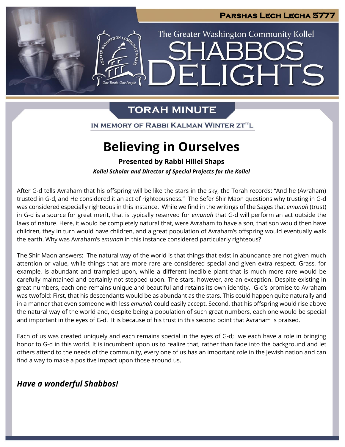

### **TORAH MINUTE**

IN MEMORY OF RABBI KALMAN WINTER ZT"L

## **Believing in Ourselves**

**Presented by Rabbi Hillel Shaps**

*Kollel Scholar and Director of Special Projects for the Kollel*

After G-d tells Avraham that his offspring will be like the stars in the sky, the Torah records: "And he (Avraham) trusted in G-d, and He considered it an act of righteousness." The Sefer Shir Maon questions why trusting in G-d was considered especially righteous in this instance. While we find in the writings of the Sages that *emunah* (trust) in G-d is a source for great merit, that is typically reserved for *emunah* that G-d will perform an act outside the laws of nature. Here, it would be completely natural that, were Avraham to have a son, that son would then have children, they in turn would have children, and a great population of Avraham's offspring would eventually walk the earth. Why was Avraham's *emunah* in this instance considered particularly righteous?

The Shir Maon answers: The natural way of the world is that things that exist in abundance are not given much attention or value, while things that are more rare are considered special and given extra respect. Grass, for example, is abundant and trampled upon, while a different inedible plant that is much more rare would be carefully maintained and certainly not stepped upon. The stars, however, are an exception. Despite existing in great numbers, each one remains unique and beautiful and retains its own identity. G-d's promise to Avraham was twofold: First, that his descendants would be as abundant as the stars. This could happen quite naturally and in a manner that even someone with less *emunah* could easily accept. Second, that his offspring would rise above the natural way of the world and, despite being a population of such great numbers, each one would be special and important in the eyes of G-d. It is because of his trust in this second point that Avraham is praised.

Each of us was created uniquely and each remains special in the eyes of G-d; we each have a role in bringing honor to G-d in this world. It is incumbent upon us to realize that, rather than fade into the background and let others attend to the needs of the community, every one of us has an important role in the Jewish nation and can find a way to make a positive impact upon those around us.

### *Have a wonderful Shabbos!*